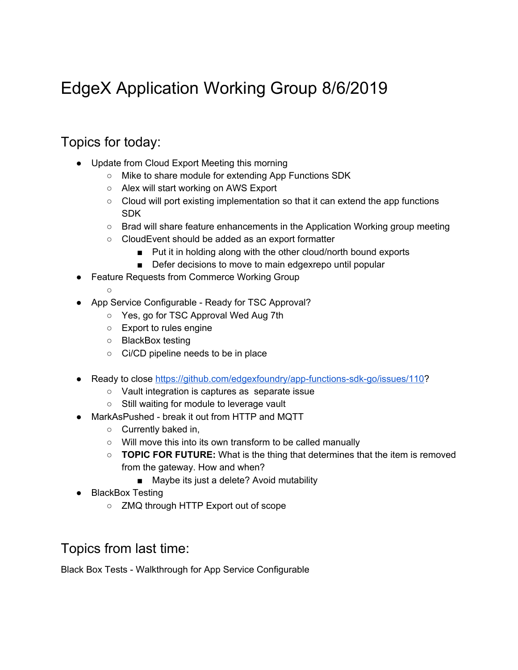# EdgeX Application Working Group 8/6/2019

#### Topics for today:

 $\circ$ 

- Update from Cloud Export Meeting this morning
	- Mike to share module for extending App Functions SDK
	- Alex will start working on AWS Export
	- Cloud will port existing implementation so that it can extend the app functions SDK
	- Brad will share feature enhancements in the Application Working group meeting
	- CloudEvent should be added as an export formatter
		- Put it in holding along with the other cloud/north bound exports
		- Defer decisions to move to main edgexrepo until popular
- Feature Requests from Commerce Working Group
- App Service Configurable Ready for TSC Approval?
	- Yes, go for TSC Approval Wed Aug 7th
	- Export to rules engine
	- BlackBox testing
	- Ci/CD pipeline needs to be in place
- Ready to close [https://github.com/edgexfoundry/app-functions-sdk-go/issues/110?](https://github.com/edgexfoundry/app-functions-sdk-go/issues/110)
	- Vault integration is captures as separate issue
	- Still waiting for module to leverage vault
- MarkAsPushed break it out from HTTP and MQTT
	- Currently baked in,
	- Will move this into its own transform to be called manually
	- **TOPIC FOR FUTURE:** What is the thing that determines that the item is removed from the gateway. How and when?
		- Maybe its just a delete? Avoid mutability
- BlackBox Testing
	- ZMQ through HTTP Export out of scope

#### Topics from last time:

Black Box Tests - Walkthrough for App Service Configurable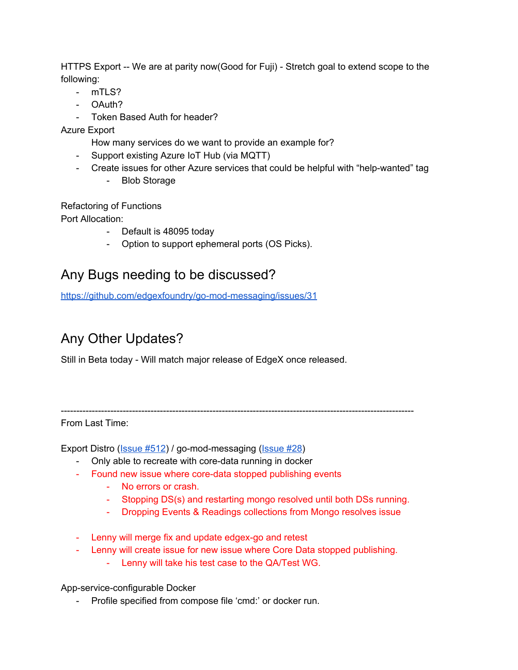HTTPS Export -- We are at parity now(Good for Fuji) - Stretch goal to extend scope to the following:

- mTLS?
- OAuth?
- Token Based Auth for header?

Azure Export

How many services do we want to provide an example for?

- Support existing Azure IoT Hub (via MQTT)
- Create issues for other Azure services that could be helpful with "help-wanted" tag
	- Blob Storage

Refactoring of Functions

Port Allocation:

- Default is 48095 today
- Option to support ephemeral ports (OS Picks).

## Any Bugs needing to be discussed?

<https://github.com/edgexfoundry/go-mod-messaging/issues/31>

## Any Other Updates?

Still in Beta today - Will match major release of EdgeX once released.

From Last Time:

Export Distro [\(Issue](https://github.com/edgexfoundry/edgex-go/issues/1512) #512) / go-mod-messaging ([Issue](https://github.com/edgexfoundry/go-mod-messaging/issues/28) #28)

- Only able to recreate with core-data running in docker
- Found new issue where core-data stopped publishing events
	- No errors or crash.
	- Stopping DS(s) and restarting mongo resolved until both DSs running.
	- Dropping Events & Readings collections from Mongo resolves issue
- Lenny will merge fix and update edgex-go and retest
- Lenny will create issue for new issue where Core Data stopped publishing.

------------------------------------------------------------------------------------------------------------------

- Lenny will take his test case to the QA/Test WG.

App-service-configurable Docker

- Profile specified from compose file 'cmd:' or docker run.